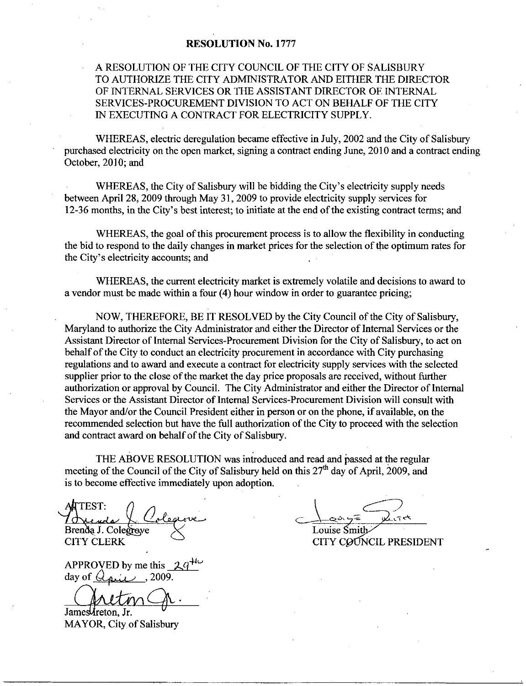## RESOLUTION No. 1777

## A RESOLUTION OF THE CITY COUNCIL OF THE CITY OF SALISBURY TO AUTHORIZE THE CITY ADMINISTRATOR AND EITHER THE DIRECTOR OF INTERNAL SERVICES OR THE ASSISTANT DIRECTOR OE INTERNAL SERVICES PROCUREMENT DIVISION TO ACT ON BEHALF OF THE CITY IN EXECUTING A CONTRACT FOR ELECTRICITY SUPPLY

WHEREAS, electric deregulation became effective in July, 2002 and the City of Salisbury purchased electricity on the open market, signing a contract ending June, 2010 and a contract ending October, 2010; and

WHEREAS, the City of Salisbury will be bidding the City's electricity supply needs between April 28, 2009 through May 31, 2009 to provide electricity supply services for 12-36 months, in the City's best interest; to initiate at the end of the existing contract terms; and

WHEREAS, the goal of this procurement process is to allow the flexibility in conducting the bid to respond to the daily changes in market prices for the selection of the optimum rates for WHEREAS, the goal of this<br>the bid to respond to the daily chan<br>the City's electricity accounts; and

WHEREAS, the current electricity market is extremely volatile and decisions to award to a vendor must be made within a four  $(4)$  hour window in order to guarantee pricing;

NOW, THEREFORE, BE IT RESOLVED by the City Council of the City of Salisbury, Maryland to authorize the City Administrator and either the Director of Internal Services or the Assistant Director of Internal Services-Procurement Division for the City of Salisbury, to act on behalf of the City to conduct an electricity procurement in accordance with City purchasing regulations and to award and execute a contract for electricity supply services with the selected supplier prior to the close of the market the day price proposals are received, without further authorization or approval by Council. The City Administrator and either the Director of Internal Services or the Assistant Director of Internal Services-Procurement Division will consult with the Mayor and/or the Council President either in person or on the phone, if available, on the regulations and to award and execute a contract for electricity supply services with the selected supplier prior to the close of the market the day price proposals are received, without further authorization or approval by and contract award on behalf of the City of Salisbury.

THE ABOVE RESOLUTION was introduced and read and passed at the regulaz meeting of the Council of the City of Salisbury held on this 27<sup>th</sup> day of April, 2009, and is to become effective immediately upon adoption

AATTEST: Brenda J. Colegreye

CITY CLERK

APPROVED by me this day of  $G_{\text{air}}$ , 2009.

James *A*reton. Jr.

MAYOR, City of Salisbury

 $\frac{Q}{Q}$ しいさ Louise Smi

CITY COUNCIL PRESIDENT